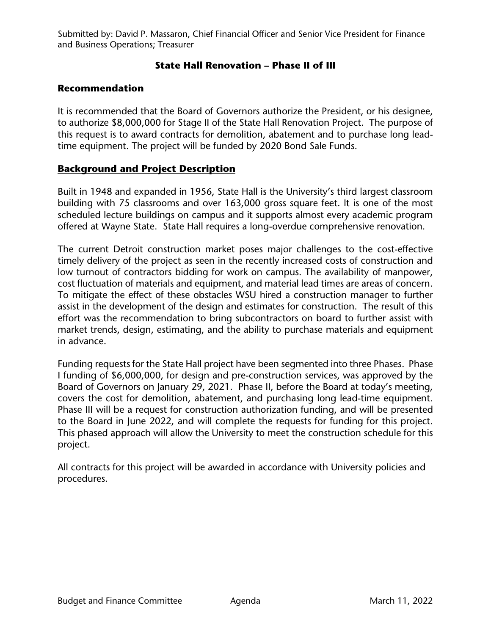Submitted by: David P. Massaron, Chief Financial Officer and Senior Vice President for Finance and Business Operations; Treasurer

## **State Hall Renovation – Phase II of III**

## **Recommendation**

It is recommended that the Board of Governors authorize the President, or his designee, to authorize \$8,000,000 for Stage II of the State Hall Renovation Project. The purpose of this request is to award contracts for demolition, abatement and to purchase long leadtime equipment. The project will be funded by 2020 Bond Sale Funds.

## **Background and Project Description**

Built in 1948 and expanded in 1956, State Hall is the University's third largest classroom building with 75 classrooms and over 163,000 gross square feet. It is one of the most scheduled lecture buildings on campus and it supports almost every academic program offered at Wayne State. State Hall requires a long-overdue comprehensive renovation.

The current Detroit construction market poses major challenges to the cost-effective timely delivery of the project as seen in the recently increased costs of construction and low turnout of contractors bidding for work on campus. The availability of manpower, cost fluctuation of materials and equipment, and material lead times are areas of concern. To mitigate the effect of these obstacles WSU hired a construction manager to further assist in the development of the design and estimates for construction. The result of this effort was the recommendation to bring subcontractors on board to further assist with market trends, design, estimating, and the ability to purchase materials and equipment in advance.

Funding requests for the State Hall project have been segmented into three Phases. Phase I funding of \$6,000,000, for design and pre-construction services, was approved by the Board of Governors on January 29, 2021. Phase II, before the Board at today's meeting, covers the cost for demolition, abatement, and purchasing long lead-time equipment. Phase III will be a request for construction authorization funding, and will be presented to the Board in June 2022, and will complete the requests for funding for this project. This phased approach will allow the University to meet the construction schedule for this project.

All contracts for this project will be awarded in accordance with University policies and procedures.